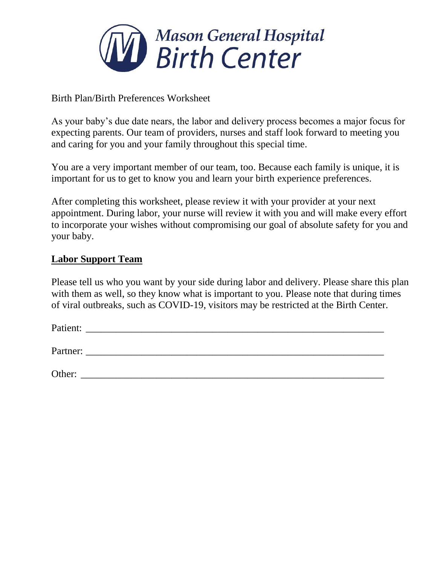

Birth Plan/Birth Preferences Worksheet

As your baby's due date nears, the labor and delivery process becomes a major focus for expecting parents. Our team of providers, nurses and staff look forward to meeting you and caring for you and your family throughout this special time.

You are a very important member of our team, too. Because each family is unique, it is important for us to get to know you and learn your birth experience preferences.

After completing this worksheet, please review it with your provider at your next appointment. During labor, your nurse will review it with you and will make every effort to incorporate your wishes without compromising our goal of absolute safety for you and your baby.

#### **Labor Support Team**

Please tell us who you want by your side during labor and delivery. Please share this plan with them as well, so they know what is important to you. Please note that during times of viral outbreaks, such as COVID-19, visitors may be restricted at the Birth Center.

| Patient: |  |  |  |
|----------|--|--|--|
| Partner: |  |  |  |
| Other:   |  |  |  |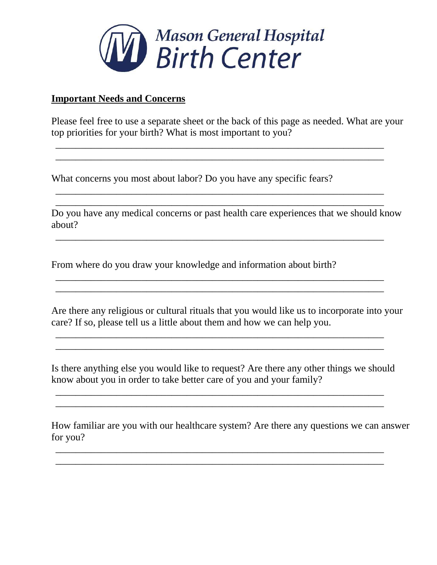

#### **Important Needs and Concerns**

Please feel free to use a separate sheet or the back of this page as needed. What are your top priorities for your birth? What is most important to you?

\_\_\_\_\_\_\_\_\_\_\_\_\_\_\_\_\_\_\_\_\_\_\_\_\_\_\_\_\_\_\_\_\_\_\_\_\_\_\_\_\_\_\_\_\_\_\_\_\_\_\_\_\_\_\_\_\_\_\_\_\_\_\_\_\_ \_\_\_\_\_\_\_\_\_\_\_\_\_\_\_\_\_\_\_\_\_\_\_\_\_\_\_\_\_\_\_\_\_\_\_\_\_\_\_\_\_\_\_\_\_\_\_\_\_\_\_\_\_\_\_\_\_\_\_\_\_\_\_\_\_

\_\_\_\_\_\_\_\_\_\_\_\_\_\_\_\_\_\_\_\_\_\_\_\_\_\_\_\_\_\_\_\_\_\_\_\_\_\_\_\_\_\_\_\_\_\_\_\_\_\_\_\_\_\_\_\_\_\_\_\_\_\_\_\_\_ \_\_\_\_\_\_\_\_\_\_\_\_\_\_\_\_\_\_\_\_\_\_\_\_\_\_\_\_\_\_\_\_\_\_\_\_\_\_\_\_\_\_\_\_\_\_\_\_\_\_\_\_\_\_\_\_\_\_\_\_\_\_\_\_\_

What concerns you most about labor? Do you have any specific fears?

Do you have any medical concerns or past health care experiences that we should know about?

\_\_\_\_\_\_\_\_\_\_\_\_\_\_\_\_\_\_\_\_\_\_\_\_\_\_\_\_\_\_\_\_\_\_\_\_\_\_\_\_\_\_\_\_\_\_\_\_\_\_\_\_\_\_\_\_\_\_\_\_\_\_\_\_\_

\_\_\_\_\_\_\_\_\_\_\_\_\_\_\_\_\_\_\_\_\_\_\_\_\_\_\_\_\_\_\_\_\_\_\_\_\_\_\_\_\_\_\_\_\_\_\_\_\_\_\_\_\_\_\_\_\_\_\_\_\_\_\_\_\_ \_\_\_\_\_\_\_\_\_\_\_\_\_\_\_\_\_\_\_\_\_\_\_\_\_\_\_\_\_\_\_\_\_\_\_\_\_\_\_\_\_\_\_\_\_\_\_\_\_\_\_\_\_\_\_\_\_\_\_\_\_\_\_\_\_

From where do you draw your knowledge and information about birth?

Are there any religious or cultural rituals that you would like us to incorporate into your care? If so, please tell us a little about them and how we can help you.

 $\overline{\phantom{a}}$  , and the contribution of the contribution of the contribution of the contribution of the contribution of the contribution of the contribution of the contribution of the contribution of the contribution of the \_\_\_\_\_\_\_\_\_\_\_\_\_\_\_\_\_\_\_\_\_\_\_\_\_\_\_\_\_\_\_\_\_\_\_\_\_\_\_\_\_\_\_\_\_\_\_\_\_\_\_\_\_\_\_\_\_\_\_\_\_\_\_\_\_

Is there anything else you would like to request? Are there any other things we should know about you in order to take better care of you and your family?

\_\_\_\_\_\_\_\_\_\_\_\_\_\_\_\_\_\_\_\_\_\_\_\_\_\_\_\_\_\_\_\_\_\_\_\_\_\_\_\_\_\_\_\_\_\_\_\_\_\_\_\_\_\_\_\_\_\_\_\_\_\_\_\_\_ \_\_\_\_\_\_\_\_\_\_\_\_\_\_\_\_\_\_\_\_\_\_\_\_\_\_\_\_\_\_\_\_\_\_\_\_\_\_\_\_\_\_\_\_\_\_\_\_\_\_\_\_\_\_\_\_\_\_\_\_\_\_\_\_\_

\_\_\_\_\_\_\_\_\_\_\_\_\_\_\_\_\_\_\_\_\_\_\_\_\_\_\_\_\_\_\_\_\_\_\_\_\_\_\_\_\_\_\_\_\_\_\_\_\_\_\_\_\_\_\_\_\_\_\_\_\_\_\_\_\_ \_\_\_\_\_\_\_\_\_\_\_\_\_\_\_\_\_\_\_\_\_\_\_\_\_\_\_\_\_\_\_\_\_\_\_\_\_\_\_\_\_\_\_\_\_\_\_\_\_\_\_\_\_\_\_\_\_\_\_\_\_\_\_\_\_

How familiar are you with our healthcare system? Are there any questions we can answer for you?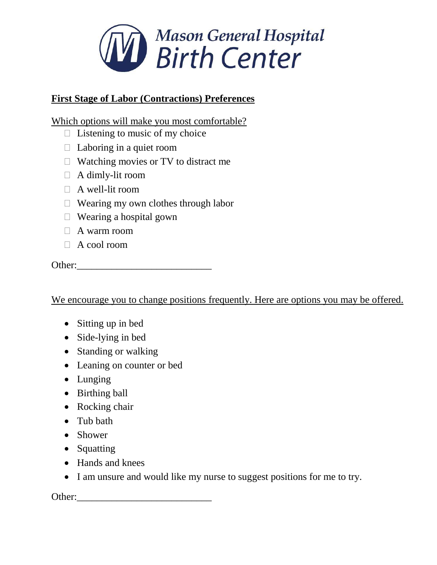

# **First Stage of Labor (Contractions) Preferences**

Which options will make you most comfortable?

- $\Box$  Listening to music of my choice
- $\Box$  Laboring in a quiet room
- $\Box$  Watching movies or TV to distract me
- $\Box$  A dimly-lit room
- $\Box$  A well-lit room
- Wearing my own clothes through labor
- $\Box$  Wearing a hospital gown
- $\Box$  A warm room
- $\Box$  A cool room

Other:\_\_\_\_\_\_\_\_\_\_\_\_\_\_\_\_\_\_\_\_\_\_\_\_\_\_\_

We encourage you to change positions frequently. Here are options you may be offered.

- Sitting up in bed
- Side-lying in bed
- Standing or walking
- Leaning on counter or bed
- Lunging
- Birthing ball
- Rocking chair
- Tub bath
- Shower
- Squatting
- Hands and knees
- I am unsure and would like my nurse to suggest positions for me to try.

Other:\_\_\_\_\_\_\_\_\_\_\_\_\_\_\_\_\_\_\_\_\_\_\_\_\_\_\_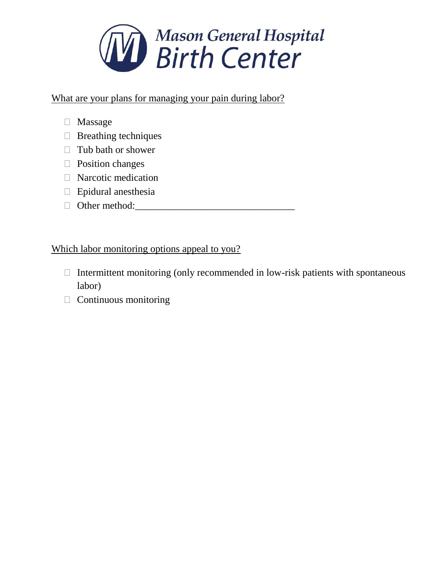

What are your plans for managing your pain during labor?

- Massage
- $\Box$  Breathing techniques
- $\Box$  Tub bath or shower
- □ Position changes
- $\Box$  Narcotic medication
- $\Box$  Epidural anesthesia
- Other method:\_\_\_\_\_\_\_\_\_\_\_\_\_\_\_\_\_\_\_\_\_\_\_\_\_\_\_\_\_\_\_\_

## Which labor monitoring options appeal to you?

- $\Box$  Intermittent monitoring (only recommended in low-risk patients with spontaneous labor)
- $\Box$  Continuous monitoring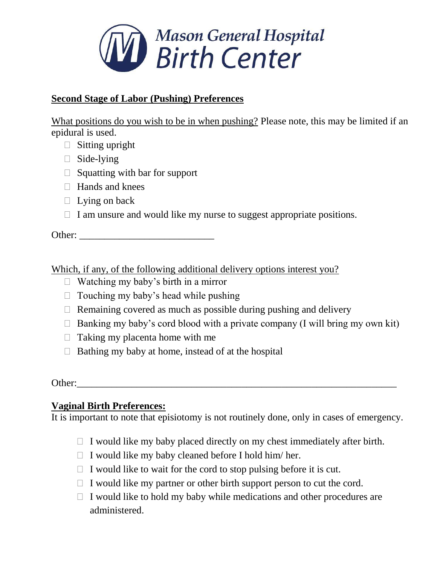

### **Second Stage of Labor (Pushing) Preferences**

What positions do you wish to be in when pushing? Please note, this may be limited if an epidural is used.

- $\Box$  Sitting upright
- $\Box$  Side-lying
- $\Box$  Squatting with bar for support
- Hands and knees
- $\Box$  Lying on back
- $\Box$  I am unsure and would like my nurse to suggest appropriate positions.

Other: \_\_\_\_\_\_\_\_\_\_\_\_\_\_\_\_\_\_\_\_\_\_\_\_\_\_\_

Which, if any, of the following additional delivery options interest you?

- $\Box$  Watching my baby's birth in a mirror
- $\Box$  Touching my baby's head while pushing
- $\Box$  Remaining covered as much as possible during pushing and delivery
- $\Box$  Banking my baby's cord blood with a private company (I will bring my own kit)
- $\Box$  Taking my placenta home with me
- $\Box$  Bathing my baby at home, instead of at the hospital

Other:

### **Vaginal Birth Preferences:**

It is important to note that episiotomy is not routinely done, only in cases of emergency.

- $\Box$  I would like my baby placed directly on my chest immediately after birth.
- $\Box$  I would like my baby cleaned before I hold him/her.
- $\Box$  I would like to wait for the cord to stop pulsing before it is cut.
- $\Box$  I would like my partner or other birth support person to cut the cord.
- $\Box$  I would like to hold my baby while medications and other procedures are administered.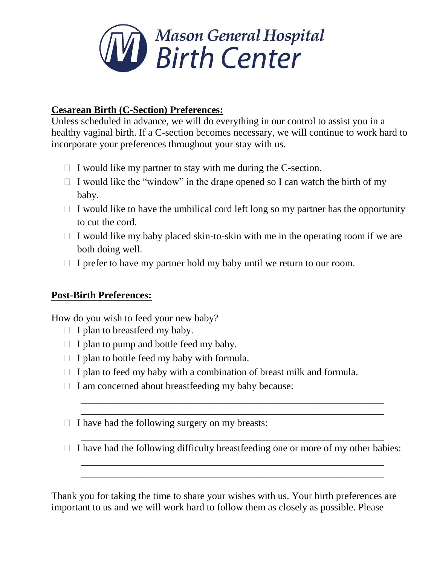

### **Cesarean Birth (C-Section) Preferences:**

Unless scheduled in advance, we will do everything in our control to assist you in a healthy vaginal birth. If a C-section becomes necessary, we will continue to work hard to incorporate your preferences throughout your stay with us.

- $\Box$  I would like my partner to stay with me during the C-section.
- $\Box$  I would like the "window" in the drape opened so I can watch the birth of my baby.
- $\Box$  I would like to have the umbilical cord left long so my partner has the opportunity to cut the cord.
- $\Box$  I would like my baby placed skin-to-skin with me in the operating room if we are both doing well.
- $\Box$  I prefer to have my partner hold my baby until we return to our room.

### **Post-Birth Preferences:**

How do you wish to feed your new baby?

- $\Box$  I plan to breastfeed my baby.
- $\Box$  I plan to pump and bottle feed my baby.
- $\Box$  I plan to bottle feed my baby with formula.
- $\Box$  I plan to feed my baby with a combination of breast milk and formula.
- $\Box$  I am concerned about breastfeeding my baby because:
- $\Box$  I have had the following surgery on my breasts:
- \_\_\_\_\_\_\_\_\_\_\_\_\_\_\_\_\_\_\_\_\_\_\_\_\_\_\_\_\_\_\_\_\_\_\_\_\_\_\_\_\_\_\_\_\_\_\_\_\_\_\_\_\_\_\_\_\_\_\_\_  $\Box$  I have had the following difficulty breastfeeding one or more of my other babies: \_\_\_\_\_\_\_\_\_\_\_\_\_\_\_\_\_\_\_\_\_\_\_\_\_\_\_\_\_\_\_\_\_\_\_\_\_\_\_\_\_\_\_\_\_\_\_\_\_\_\_\_\_\_\_\_\_\_\_\_

\_\_\_\_\_\_\_\_\_\_\_\_\_\_\_\_\_\_\_\_\_\_\_\_\_\_\_\_\_\_\_\_\_\_\_\_\_\_\_\_\_\_\_\_\_\_\_\_\_\_\_\_\_\_\_\_\_\_\_\_

\_\_\_\_\_\_\_\_\_\_\_\_\_\_\_\_\_\_\_\_\_\_\_\_\_\_\_\_\_\_\_\_\_\_\_\_\_\_\_\_\_\_\_\_\_\_\_\_\_\_\_\_\_\_\_\_\_\_\_\_ \_\_\_\_\_\_\_\_\_\_\_\_\_\_\_\_\_\_\_\_\_\_\_\_\_\_\_\_\_\_\_\_\_\_\_\_\_\_\_\_\_\_\_\_\_\_\_\_\_\_\_\_\_\_\_\_\_\_\_\_

Thank you for taking the time to share your wishes with us. Your birth preferences are important to us and we will work hard to follow them as closely as possible. Please